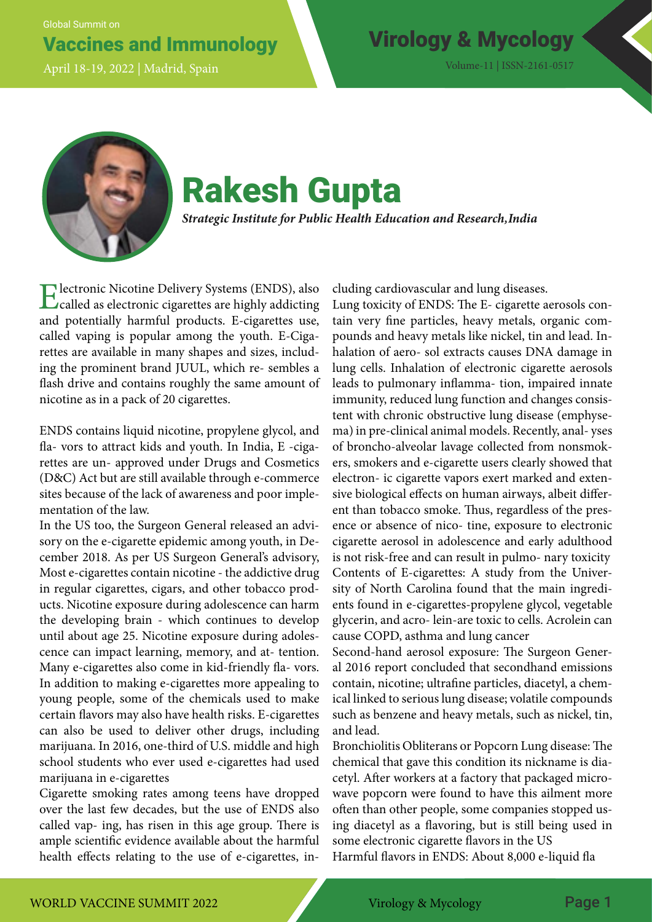Global Summit on

## Vaccines and Immunology Virology & Mycology

April 18-19, 2022 | Madrid, Spain Volume-11 | ISSN-2161-0517



# Rakesh Gupta

*Strategic Institute for Public Health Education and Research, India*

Electronic Nicotine Delivery Systems (ENDS), also called as electronic cigarettes are highly addicting and potentially harmful products. E-cigarettes use, called vaping is popular among the youth. E-Cigarettes are available in many shapes and sizes, including the prominent brand JUUL, which re- sembles a flash drive and contains roughly the same amount of nicotine as in a pack of 20 cigarettes.

ENDS contains liquid nicotine, propylene glycol, and fla- vors to attract kids and youth. In India, E -cigarettes are un- approved under Drugs and Cosmetics (D&C) Act but are still available through e-commerce sites because of the lack of awareness and poor implementation of the law.

In the US too, the Surgeon General released an advisory on the e-cigarette epidemic among youth, in December 2018. As per US Surgeon General's advisory, Most e-cigarettes contain nicotine - the addictive drug in regular cigarettes, cigars, and other tobacco products. Nicotine exposure during adolescence can harm the developing brain - which continues to develop until about age 25. Nicotine exposure during adolescence can impact learning, memory, and at- tention. Many e-cigarettes also come in kid-friendly fla- vors. In addition to making e-cigarettes more appealing to young people, some of the chemicals used to make certain flavors may also have health risks. E-cigarettes can also be used to deliver other drugs, including marijuana. In 2016, one-third of U.S. middle and high school students who ever used e-cigarettes had used marijuana in e-cigarettes

Cigarette smoking rates among teens have dropped over the last few decades, but the use of ENDS also called vap- ing, has risen in this age group. There is ample scientific evidence available about the harmful health effects relating to the use of e-cigarettes, including cardiovascular and lung diseases.

Lung toxicity of ENDS: The E- cigarette aerosols contain very fine particles, heavy metals, organic compounds and heavy metals like nickel, tin and lead. Inhalation of aero- sol extracts causes DNA damage in lung cells. Inhalation of electronic cigarette aerosols leads to pulmonary inflamma- tion, impaired innate immunity, reduced lung function and changes consistent with chronic obstructive lung disease (emphysema) in pre-clinical animal models. Recently, anal- yses of broncho-alveolar lavage collected from nonsmokers, smokers and e-cigarette users clearly showed that electron- ic cigarette vapors exert marked and extensive biological effects on human airways, albeit different than tobacco smoke. Thus, regardless of the presence or absence of nico- tine, exposure to electronic cigarette aerosol in adolescence and early adulthood is not risk-free and can result in pulmo- nary toxicity Contents of E-cigarettes: A study from the University of North Carolina found that the main ingredients found in e-cigarettes-propylene glycol, vegetable glycerin, and acro- lein-are toxic to cells. Acrolein can cause COPD, asthma and lung cancer

Second-hand aerosol exposure: The Surgeon General 2016 report concluded that secondhand emissions contain, nicotine; ultrafine particles, diacetyl, a chemical linked to serious lung disease; volatile compounds such as benzene and heavy metals, such as nickel, tin, and lead.

Bronchiolitis Obliterans or Popcorn Lung disease: The chemical that gave this condition its nickname is diacetyl. After workers at a factory that packaged microwave popcorn were found to have this ailment more often than other people, some companies stopped using diacetyl as a flavoring, but is still being used in some electronic cigarette flavors in the US

Harmful flavors in ENDS: About 8,000 e-liquid fla